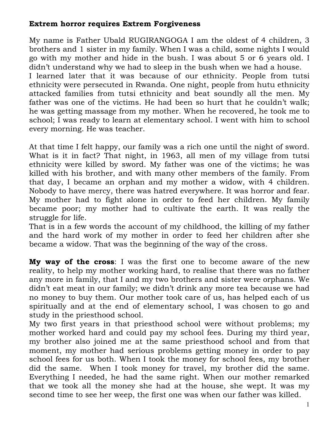# **Extrem horror requires Extrem Forgiveness**

My name is Father Ubald RUGIRANGOGA I am the oldest of 4 children, 3 brothers and 1 sister in my family. When I was a child, some nights I would go with my mother and hide in the bush. I was about 5 or 6 years old. I didn't understand why we had to sleep in the bush when we had a house. I learned later that it was because of our ethnicity. People from tutsi ethnicity were persecuted in Rwanda. One night, people from hutu ethnicity attacked families from tutsi ethnicity and beat soundly all the men. My father was one of the victims. He had been so hurt that he couldn't walk; he was getting massage from my mother. When he recovered, he took me to school; I was ready to learn at elementary school. I went with him to school

every morning. He was teacher.

At that time I felt happy, our family was a rich one until the night of sword. What is it in fact? That night, in 1963, all men of my village from tutsi ethnicity were killed by sword. My father was one of the victims; he was killed with his brother, and with many other members of the family. From that day, I became an orphan and my mother a widow, with 4 children. Nobody to have mercy, there was hatred everywhere. It was horror and fear. My mother had to fight alone in order to feed her children. My family became poor; my mother had to cultivate the earth. It was really the struggle for life.

That is in a few words the account of my childhood, the killing of my father and the hard work of my mother in order to feed her children after she became a widow. That was the beginning of the way of the cross.

**My way of the cross**: I was the first one to become aware of the new reality, to help my mother working hard, to realise that there was no father any more in family, that I and my two brothers and sister were orphans. We didn't eat meat in our family; we didn't drink any more tea because we had no money to buy them. Our mother took care of us, has helped each of us spiritually and at the end of elementary school, I was chosen to go and study in the priesthood school.

My two first years in that priesthood school were without problems; my mother worked hard and could pay my school fees. During my third year, my brother also joined me at the same priesthood school and from that moment, my mother had serious problems getting money in order to pay school fees for us both. When I took the money for school fees, my brother did the same. When I took money for travel, my brother did the same. Everything I needed, he had the same right. When our mother remarked that we took all the money she had at the house, she wept. It was my second time to see her weep, the first one was when our father was killed.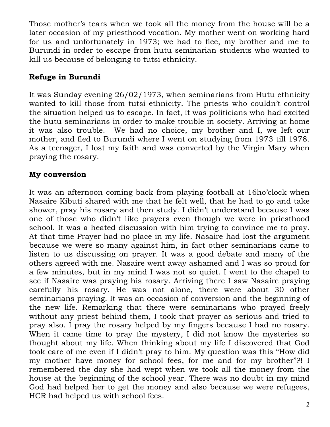Those mother's tears when we took all the money from the house will be a later occasion of my priesthood vocation. My mother went on working hard for us and unfortunately in 1973; we had to flee, my brother and me to Burundi in order to escape from hutu seminarian students who wanted to kill us because of belonging to tutsi ethnicity.

## **Refuge in Burundi**

It was Sunday evening 26/02/1973, when seminarians from Hutu ethnicity wanted to kill those from tutsi ethnicity. The priests who couldn't control the situation helped us to escape. In fact, it was politicians who had excited the hutu seminarians in order to make trouble in society. Arriving at home it was also trouble. We had no choice, my brother and I, we left our mother, and fled to Burundi where I went on studying from 1973 till 1978. As a teenager, I lost my faith and was converted by the Virgin Mary when praying the rosary.

### **My conversion**

It was an afternoon coming back from playing football at 16ho'clock when Nasaire Kibuti shared with me that he felt well, that he had to go and take shower, pray his rosary and then study. I didn't understand because I was one of those who didn't like prayers even though we were in priesthood school. It was a heated discussion with him trying to convince me to pray. At that time Prayer had no place in my life. Nasaire had lost the argument because we were so many against him, in fact other seminarians came to listen to us discussing on prayer. It was a good debate and many of the others agreed with me. Nasaire went away ashamed and I was so proud for a few minutes, but in my mind I was not so quiet. I went to the chapel to see if Nasaire was praying his rosary. Arriving there I saw Nasaire praying carefully his rosary. He was not alone, there were about 30 other seminarians praying. It was an occasion of conversion and the beginning of the new life. Remarking that there were seminarians who prayed freely without any priest behind them, I took that prayer as serious and tried to pray also. I pray the rosary helped by my fingers because I had no rosary. When it came time to pray the mystery, I did not know the mysteries so thought about my life. When thinking about my life I discovered that God took care of me even if I didn't pray to him. My question was this "How did my mother have money for school fees, for me and for my brother"?! I remembered the day she had wept when we took all the money from the house at the beginning of the school year. There was no doubt in my mind God had helped her to get the money and also because we were refugees, HCR had helped us with school fees.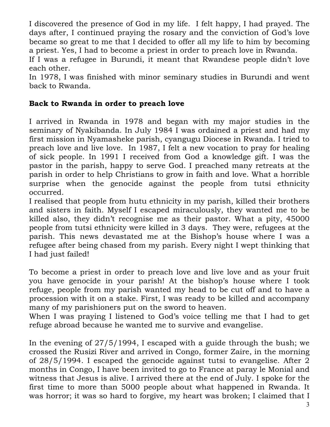I discovered the presence of God in my life. I felt happy, I had prayed. The days after, I continued praying the rosary and the conviction of God's love became so great to me that I decided to offer all my life to him by becoming a priest. Yes, I had to become a priest in order to preach love in Rwanda.

If I was a refugee in Burundi, it meant that Rwandese people didn't love each other.

In 1978, I was finished with minor seminary studies in Burundi and went back to Rwanda.

# **Back to Rwanda in order to preach love**

I arrived in Rwanda in 1978 and began with my major studies in the seminary of Nyakibanda. In July 1984 I was ordained a priest and had my first mission in Nyamasheke parish, cyangugu Diocese in Rwanda. I tried to preach love and live love. In 1987, I felt a new vocation to pray for healing of sick people. In 1991 I received from God a knowledge gift. I was the pastor in the parish, happy to serve God. I preached many retreats at the parish in order to help Christians to grow in faith and love. What a horrible surprise when the genocide against the people from tutsi ethnicity occurred.

I realised that people from hutu ethnicity in my parish, killed their brothers and sisters in faith. Myself I escaped miraculously, they wanted me to be killed also, they didn't recognise me as their pastor. What a pity, 45000 people from tutsi ethnicity were killed in 3 days. They were, refugees at the parish. This news devastated me at the Bishop's house where I was a refugee after being chased from my parish. Every night I wept thinking that I had just failed!

To become a priest in order to preach love and live love and as your fruit you have genocide in your parish! At the bishop's house where I took refuge, people from my parish wanted my head to be cut off and to have a procession with it on a stake. First, I was ready to be killed and accompany many of my parishioners put on the sword to heaven.

When I was praying I listened to God's voice telling me that I had to get refuge abroad because he wanted me to survive and evangelise.

In the evening of 27/5/1994, I escaped with a guide through the bush; we crossed the Rusizi River and arrived in Congo, former Zaire, in the morning of 28/5/1994. I escaped the genocide against tutsi to evangelise. After 2 months in Congo, I have been invited to go to France at paray le Monial and witness that Jesus is alive. I arrived there at the end of July. I spoke for the first time to more than 5000 people about what happened in Rwanda. It was horror; it was so hard to forgive, my heart was broken; I claimed that I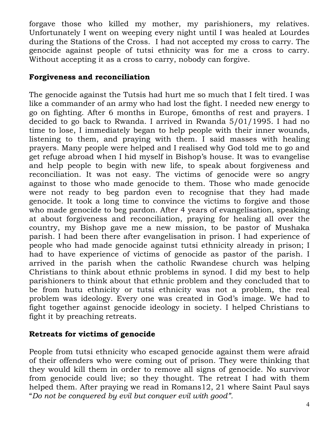forgave those who killed my mother, my parishioners, my relatives. Unfortunately I went on weeping every night until I was healed at Lourdes during the Stations of the Cross. I had not accepted my cross to carry. The genocide against people of tutsi ethnicity was for me a cross to carry. Without accepting it as a cross to carry, nobody can forgive.

#### **Forgiveness and reconciliation**

The genocide against the Tutsis had hurt me so much that I felt tired. I was like a commander of an army who had lost the fight. I needed new energy to go on fighting. After 6 months in Europe, 6months of rest and prayers. I decided to go back to Rwanda. I arrived in Rwanda 5/01/1995. I had no time to lose, I immediately began to help people with their inner wounds, listening to them, and praying with them. I said masses with healing prayers. Many people were helped and I realised why God told me to go and get refuge abroad when I hid myself in Bishop's house. It was to evangelise and help people to begin with new life, to speak about forgiveness and reconciliation. It was not easy. The victims of genocide were so angry against to those who made genocide to them. Those who made genocide were not ready to beg pardon even to recognise that they had made genocide. It took a long time to convince the victims to forgive and those who made genocide to beg pardon. After 4 years of evangelisation, speaking at about forgiveness and reconciliation, praying for healing all over the country, my Bishop gave me a new mission, to be pastor of Mushaka parish. I had been there after evangelisation in prison. I had experience of people who had made genocide against tutsi ethnicity already in prison; I had to have experience of victims of genocide as pastor of the parish. I arrived in the parish when the catholic Rwandese church was helping Christians to think about ethnic problems in synod. I did my best to help parishioners to think about that ethnic problem and they concluded that to be from hutu ethnicity or tutsi ethnicity was not a problem, the real problem was ideology. Every one was created in God's image. We had to fight together against genocide ideology in society. I helped Christians to fight it by preaching retreats.

# **Retreats for victims of genocide**

People from tutsi ethnicity who escaped genocide against them were afraid of their offenders who were coming out of prison. They were thinking that they would kill them in order to remove all signs of genocide. No survivor from genocide could live; so they thought. The retreat I had with them helped them. After praying we read in Romans12, 21 where Saint Paul says "*Do not be conquered by evil but conquer evil with good".*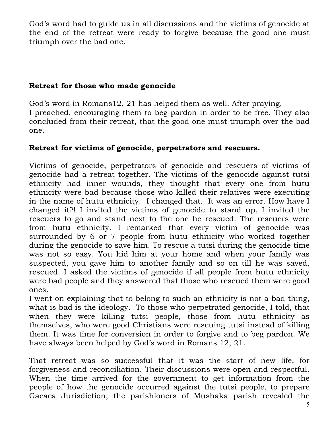God's word had to guide us in all discussions and the victims of genocide at the end of the retreat were ready to forgive because the good one must triumph over the bad one.

## **Retreat for those who made genocide**

God's word in Romans12, 21 has helped them as well. After praying, I preached, encouraging them to beg pardon in order to be free. They also concluded from their retreat, that the good one must triumph over the bad one.

# **Retreat for victims of genocide, perpetrators and rescuers.**

Victims of genocide, perpetrators of genocide and rescuers of victims of genocide had a retreat together. The victims of the genocide against tutsi ethnicity had inner wounds, they thought that every one from hutu ethnicity were bad because those who killed their relatives were executing in the name of hutu ethnicity. I changed that. It was an error. How have I changed it?! I invited the victims of genocide to stand up, I invited the rescuers to go and stand next to the one he rescued. The rescuers were from hutu ethnicity. I remarked that every victim of genocide was surrounded by 6 or 7 people from hutu ethnicity who worked together during the genocide to save him. To rescue a tutsi during the genocide time was not so easy. You hid him at your home and when your family was suspected, you gave him to another family and so on till he was saved, rescued. I asked the victims of genocide if all people from hutu ethnicity were bad people and they answered that those who rescued them were good ones.

I went on explaining that to belong to such an ethnicity is not a bad thing, what is bad is the ideology. To those who perpetrated genocide, I told, that when they were killing tutsi people, those from hutu ethnicity as themselves, who were good Christians were rescuing tutsi instead of killing them. It was time for conversion in order to forgive and to beg pardon. We have always been helped by God's word in Romans 12, 21.

That retreat was so successful that it was the start of new life, for forgiveness and reconciliation. Their discussions were open and respectful. When the time arrived for the government to get information from the people of how the genocide occurred against the tutsi people, to prepare Gacaca Jurisdiction, the parishioners of Mushaka parish revealed the